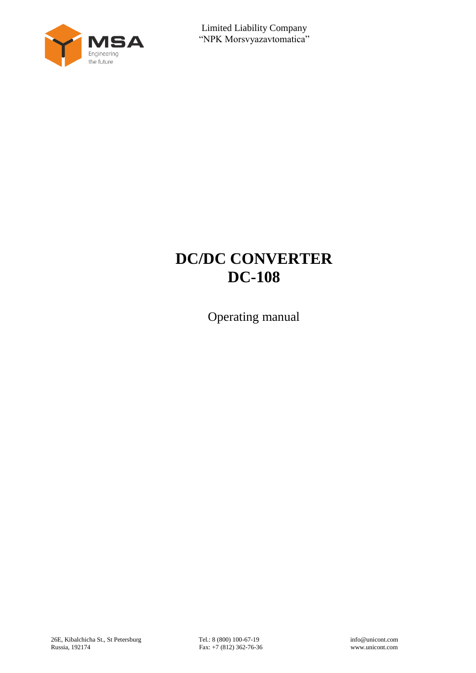

# **DC/DC CONVERTER DC-108**

Operating manual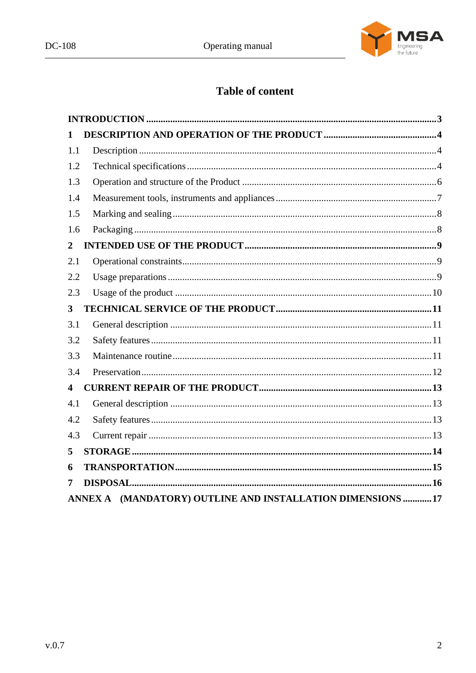

## **Table of content**

| 1              |                                                            |  |
|----------------|------------------------------------------------------------|--|
| 1.1            |                                                            |  |
| 1.2            |                                                            |  |
| 1.3            |                                                            |  |
| 1.4            |                                                            |  |
| 1.5            |                                                            |  |
| 1.6            |                                                            |  |
| $\overline{2}$ |                                                            |  |
| 2.1            |                                                            |  |
| 2.2            |                                                            |  |
| 2.3            |                                                            |  |
| 3              |                                                            |  |
| 3.1            |                                                            |  |
| 3.2            |                                                            |  |
| 3.3            |                                                            |  |
| 3.4            |                                                            |  |
| 4              |                                                            |  |
| 4.1            |                                                            |  |
| 4.2            |                                                            |  |
| 4.3            |                                                            |  |
| 5              |                                                            |  |
| 6              |                                                            |  |
| 7              |                                                            |  |
|                | ANNEX A (MANDATORY) OUTLINE AND INSTALLATION DIMENSIONS 17 |  |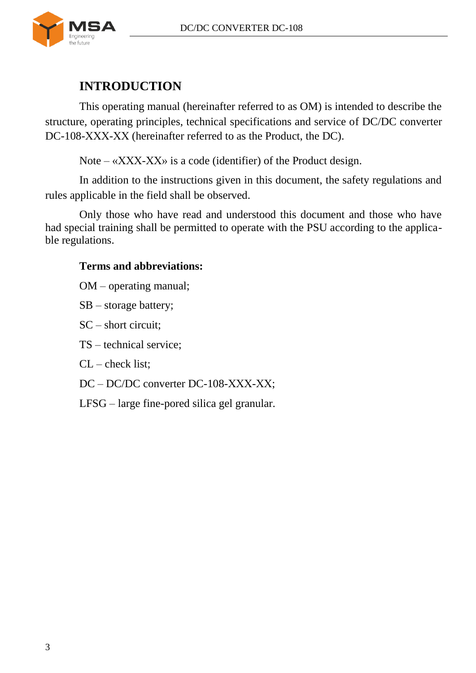

## **INTRODUCTION**

<span id="page-2-0"></span>This operating manual (hereinafter referred to as OM) is intended to describe the structure, operating principles, technical specifications and service of DC/DC converter DC-108-XXX-XX (hereinafter referred to as the Product, the DC).

Note –  $\langle$ XXX-XX $\rangle$  is a code (identifier) of the Product design.

In addition to the instructions given in this document, the safety regulations and rules applicable in the field shall be observed.

Only those who have read and understood this document and those who have had special training shall be permitted to operate with the PSU according to the applicable regulations.

#### **Terms and abbreviations:**

OM – operating manual;

SB – storage battery;

SC – short circuit;

TS – technical service;

 $CL - check$  list:

DC – DC/DC converter DC-108-ХХХ-ХХ;

LFSG – large fine-pored silica gel granular.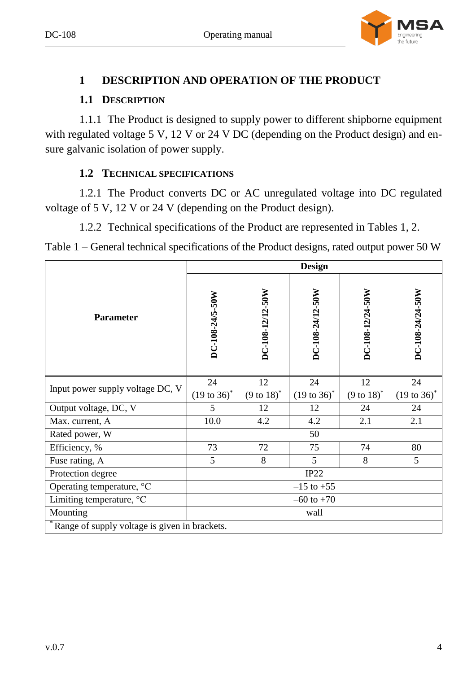

### <span id="page-3-0"></span>**1 DESCRIPTION AND OPERATION OF THE PRODUCT**

## **1.1 DESCRIPTION**

<span id="page-3-1"></span>1.1.1 The Product is designed to supply power to different shipborne equipment with regulated voltage 5 V, 12 V or 24 V DC (depending on the Product design) and ensure galvanic isolation of power supply.

## **1.2 TECHNICAL SPECIFICATIONS**

<span id="page-3-2"></span>1.2.1 The Product converts DC or AC unregulated voltage into DC regulated voltage of 5 V, 12 V or 24 V (depending on the Product design).

1.2.2 Technical specifications of the Product are represented in Tables [1,](#page-3-3) [2.](#page-3-4)

<span id="page-3-3"></span>Table 1 – General technical specifications of the Product designs, rated output power 50 W

<span id="page-3-4"></span>

|                                                 |                                 | <b>Design</b>                  |                                 |                                |                                 |  |  |
|-------------------------------------------------|---------------------------------|--------------------------------|---------------------------------|--------------------------------|---------------------------------|--|--|
| <b>Parameter</b>                                | DC-108-24/5-50W                 | DC-108-12/12-50W               | DC-108-24/12-50W                | DC-108-12/24-50W               | DC-108-24/24-50W                |  |  |
| Input power supply voltage DC, V                | 24<br>$(19 \text{ to } 36)^{*}$ | 12<br>$(9 \text{ to } 18)^{*}$ | 24<br>$(19 \text{ to } 36)^{*}$ | 12<br>$(9 \text{ to } 18)^{*}$ | 24<br>$(19 \text{ to } 36)^{*}$ |  |  |
| Output voltage, DC, V                           | 5                               | 12                             | 12                              | 24                             | 24                              |  |  |
| Max. current, A                                 | 10.0                            | 4.2                            | 4.2                             | 2.1                            | 2.1                             |  |  |
| Rated power, W                                  |                                 |                                | 50                              |                                |                                 |  |  |
| Efficiency, %                                   | 73                              | 72                             | 75                              | 74                             | 80                              |  |  |
| Fuse rating, A                                  | 5                               | 8                              | 5                               | 8                              | 5                               |  |  |
| Protection degree                               | IP22                            |                                |                                 |                                |                                 |  |  |
| Operating temperature, °C                       | $-15$ to $+55$                  |                                |                                 |                                |                                 |  |  |
| Limiting temperature, °C                        | $-60$ to $+70$                  |                                |                                 |                                |                                 |  |  |
| Mounting<br>wall                                |                                 |                                |                                 |                                |                                 |  |  |
| * Range of supply voltage is given in brackets. |                                 |                                |                                 |                                |                                 |  |  |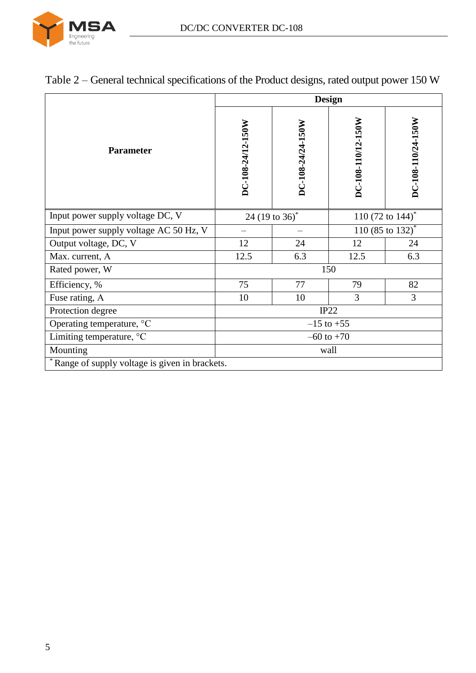

|                                                 |                   | <b>Design</b>              |                                 |                              |  |  |
|-------------------------------------------------|-------------------|----------------------------|---------------------------------|------------------------------|--|--|
| <b>Parameter</b>                                | DC-108-24/12-150W | DC-108-24/24-150W          | DC-108-110/12-150W              | DC-108-110/24-150W           |  |  |
| Input power supply voltage DC, V                |                   | 24 (19 to 36) <sup>*</sup> | 110 (72 to $144$ ) <sup>*</sup> |                              |  |  |
| Input power supply voltage AC 50 Hz, V          |                   |                            |                                 | 110 (85 to 132) <sup>*</sup> |  |  |
| Output voltage, DC, V                           | 12                | 24                         | 12                              | 24                           |  |  |
| Max. current, A                                 | 12.5              | 6.3                        | 12.5                            | 6.3                          |  |  |
| Rated power, W                                  |                   |                            | 150                             |                              |  |  |
| Efficiency, %                                   | 75                | 77                         | 79                              | 82                           |  |  |
| Fuse rating, A                                  | 10                | 10                         | 3                               | 3                            |  |  |
| Protection degree                               | IP22              |                            |                                 |                              |  |  |
| Operating temperature, °C                       | $-15$ to $+55$    |                            |                                 |                              |  |  |
| Limiting temperature, °C                        | $-60$ to $+70$    |                            |                                 |                              |  |  |
| Mounting                                        |                   | wall                       |                                 |                              |  |  |
| * Range of supply voltage is given in brackets. |                   |                            |                                 |                              |  |  |

## Table 2 – General technical specifications of the Product designs, rated output power 150 W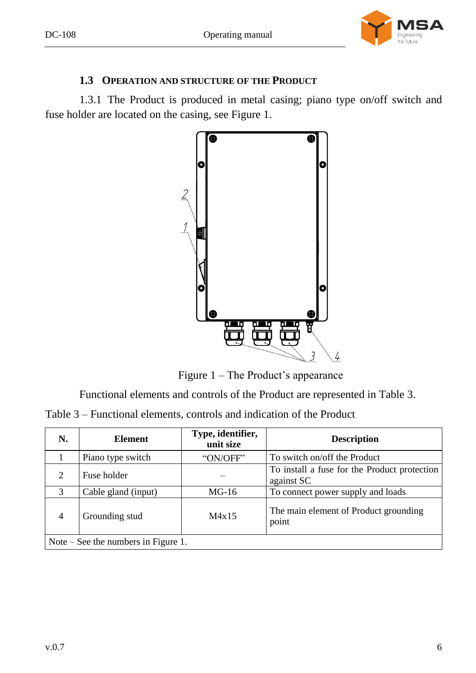

## **1.3 OPERATION AND STRUCTURE OF THE PRODUCT**

<span id="page-5-0"></span>1.3.1 The Product is produced in metal casing; piano type on/off switch and fuse holder are located on the casing, see Figure [1.](#page-5-1)



Figure 1 – The Product's appearance

<span id="page-5-1"></span>Functional elements and controls of the Product are represented in Table [3.](#page-5-2)

<span id="page-5-2"></span>

| Table 3 – Functional elements, controls and indication of the Product |  |  |  |  |
|-----------------------------------------------------------------------|--|--|--|--|
|-----------------------------------------------------------------------|--|--|--|--|

| N.                               | <b>Element</b>                        | Type, identifier,<br>unit size | <b>Description</b>                                         |  |  |
|----------------------------------|---------------------------------------|--------------------------------|------------------------------------------------------------|--|--|
|                                  | Piano type switch                     | "ON/OFF"                       | To switch on/off the Product                               |  |  |
| 2                                | Fuse holder                           |                                | To install a fuse for the Product protection<br>against SC |  |  |
| 3                                | Cable gland (input)                   | $MG-16$                        | To connect power supply and loads                          |  |  |
| $\overline{4}$<br>Grounding stud |                                       | M4x15                          | The main element of Product grounding<br>point             |  |  |
|                                  | Note $-$ See the numbers in Figure 1. |                                |                                                            |  |  |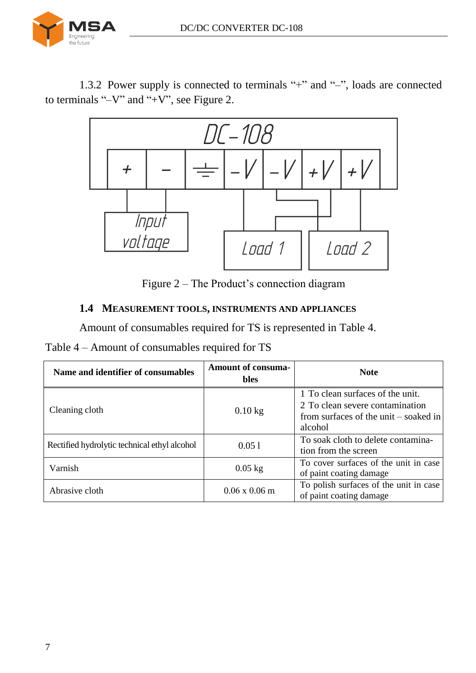

1.3.2 Power supply is connected to terminals "+" and "–", loads are connected to terminals "–V" and "+V", see Figure [2.](#page-6-1)



Figure 2 – The Product's connection diagram

#### <span id="page-6-1"></span><span id="page-6-0"></span>**1.4 MEASUREMENT TOOLS, INSTRUMENTS AND APPLIANCES**

Amount of consumables required for TS is represented in Table [4.](#page-6-2)

<span id="page-6-2"></span>

|  | Table 4 – Amount of consumables required for TS |  |  |
|--|-------------------------------------------------|--|--|
|  |                                                 |  |  |

| Name and identifier of consumables           | <b>Amount of consuma-</b><br><b>bles</b> | <b>Note</b>                                                                                                               |
|----------------------------------------------|------------------------------------------|---------------------------------------------------------------------------------------------------------------------------|
| Cleaning cloth                               | $0.10$ kg                                | 1 To clean surfaces of the unit.<br>2 To clean severe contamination<br>from surfaces of the unit $-$ soaked in<br>alcohol |
| Rectified hydrolytic technical ethyl alcohol | 0.051                                    | To soak cloth to delete contamina-<br>tion from the screen                                                                |
| Varnish                                      | $0.05$ kg                                | To cover surfaces of the unit in case<br>of paint coating damage                                                          |
| Abrasive cloth                               | $0.06 \times 0.06 \text{ m}$             | To polish surfaces of the unit in case<br>of paint coating damage                                                         |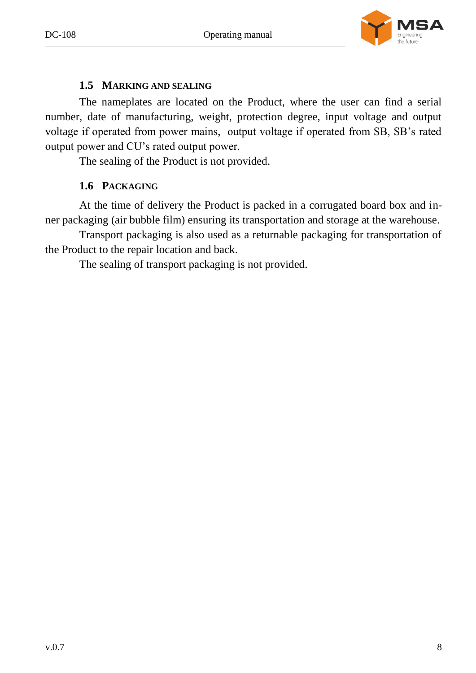



#### **1.5 MARKING AND SEALING**

<span id="page-7-0"></span>The nameplates are located on the Product, where the user can find a serial number, date of manufacturing, weight, protection degree, input voltage and output voltage if operated from power mains, output voltage if operated from SB, SB's rated output power and CU's rated output power.

The sealing of the Product is not provided.

## **1.6 PACKAGING**

<span id="page-7-1"></span>At the time of delivery the Product is packed in a corrugated board box and inner packaging (air bubble film) ensuring its transportation and storage at the warehouse.

Transport packaging is also used as a returnable packaging for transportation of the Product to the repair location and back.

The sealing of transport packaging is not provided.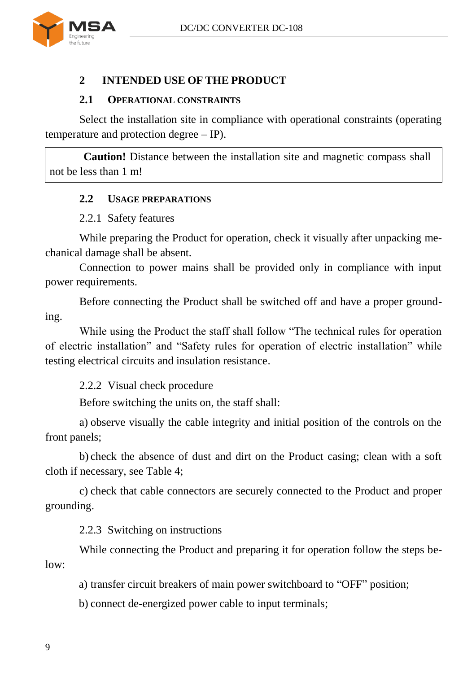

### <span id="page-8-0"></span>**2 INTENDED USE OF THE PRODUCT**

#### **2.1 OPERATIONAL CONSTRAINTS**

<span id="page-8-1"></span>Select the installation site in compliance with operational constraints (operating temperature and protection degree – IP).

<span id="page-8-2"></span>**Caution!** Distance between the installation site and magnetic compass shall not be less than 1 m!

#### **2.2 USAGE PREPARATIONS**

#### 2.2.1 Safety features

While preparing the Product for operation, check it visually after unpacking mechanical damage shall be absent.

Connection to power mains shall be provided only in compliance with input power requirements.

Before connecting the Product shall be switched off and have a proper grounding.

While using the Product the staff shall follow "The technical rules for operation of electric installation" and "Safety rules for operation of electric installation" while testing electrical circuits and insulation resistance.

2.2.2 Visual check procedure

Before switching the units on, the staff shall:

a) observe visually the cable integrity and initial position of the controls on the front panels;

b) check the absence of dust and dirt on the Product casing; clean with a soft cloth if necessary, see Table [4;](#page-6-2)

c) check that cable connectors are securely connected to the Product and proper grounding.

2.2.3 Switching on instructions

While connecting the Product and preparing it for operation follow the steps below:

a) transfer circuit breakers of main power switchboard to "OFF" position;

b) connect de-energized power cable to input terminals;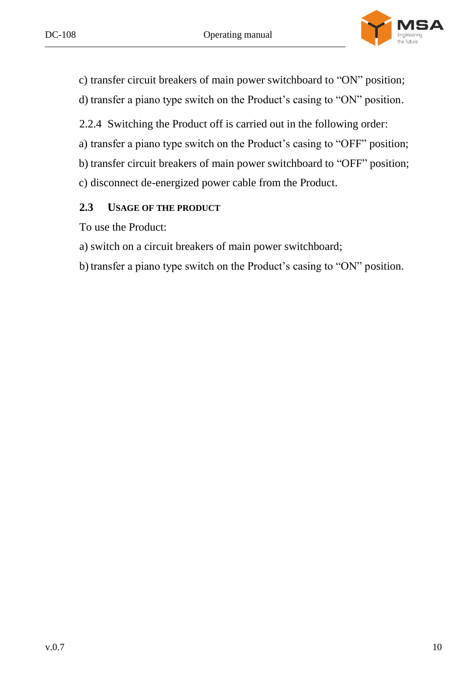

c) transfer circuit breakers of main power switchboard to "ON" position;

d) transfer a piano type switch on the Product's casing to "ON" position.

2.2.4 Switching the Product off is carried out in the following order:

a) transfer a piano type switch on the Product's casing to "OFF" position;

b) transfer circuit breakers of main power switchboard to "OFF" position;

c) disconnect de-energized power cable from the Product.

## <span id="page-9-0"></span>**2.3 USAGE OF THE PRODUCT**

To use the Product:

a) switch on a circuit breakers of main power switchboard;

b)transfer a piano type switch on the Product's casing to "ON" position.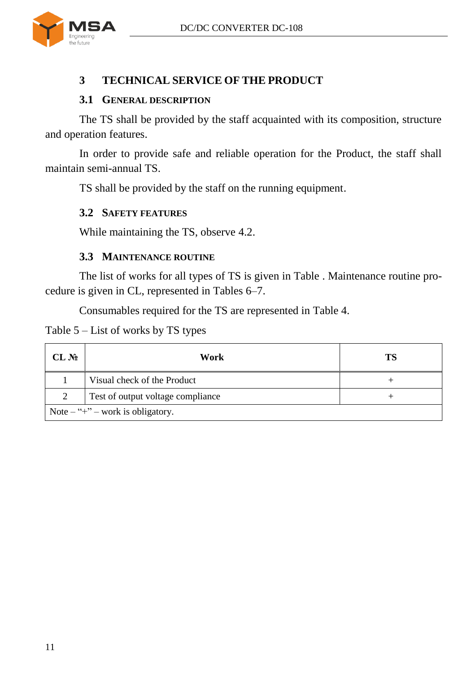

## <span id="page-10-0"></span>**3 TECHNICAL SERVICE OF THE PRODUCT**

#### **3.1 GENERAL DESCRIPTION**

<span id="page-10-1"></span>The TS shall be provided by the staff acquainted with its composition, structure and operation features.

In order to provide safe and reliable operation for the Product, the staff shall maintain semi-annual TS.

ТS shall be provided by the staff on the running equipment.

#### <span id="page-10-2"></span>**3.2 SAFETY FEATURES**

While maintaining the TS, observe [4.2.](#page-12-2)

#### **3.3 MAINTENANCE ROUTINE**

<span id="page-10-3"></span>The list of works for all types of TS is given in Table . Maintenance routine procedure is given in CL, represented in Tables [6–](#page-11-1)[7.](#page-11-2)

Consumables required for the TS are represented in Table [4.](#page-6-2)

Table  $5$  – List of works by TS types

| CL N <sub>2</sub> | Work                                                          | TS |
|-------------------|---------------------------------------------------------------|----|
|                   | Visual check of the Product                                   |    |
| 2                 | Test of output voltage compliance                             |    |
|                   | Note $-\nightharpoonup + \nightharpoonup$ work is obligatory. |    |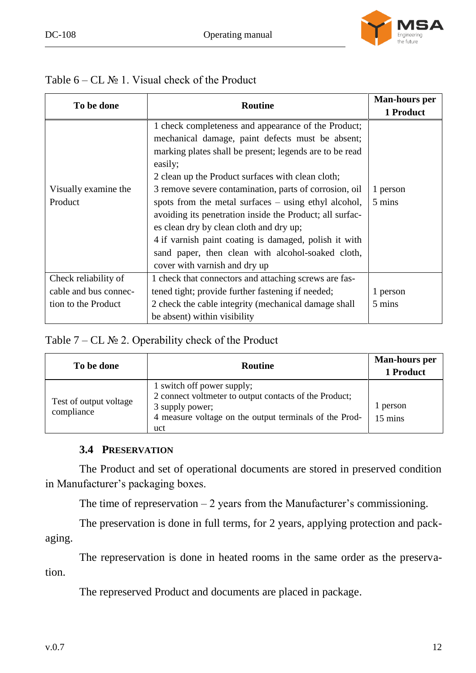

<span id="page-11-1"></span>

| Table $6 - CL$ $\mathbb{N}$ 1. Visual check of the Product |  |  |  |
|------------------------------------------------------------|--|--|--|
|------------------------------------------------------------|--|--|--|

| To be done            | <b>Routine</b>                                           | <b>Man-hours per</b> |
|-----------------------|----------------------------------------------------------|----------------------|
|                       |                                                          | 1 Product            |
|                       | 1 check completeness and appearance of the Product;      |                      |
|                       | mechanical damage, paint defects must be absent;         |                      |
|                       | marking plates shall be present; legends are to be read  |                      |
|                       | easily;                                                  |                      |
|                       | 2 clean up the Product surfaces with clean cloth;        |                      |
| Visually examine the  | 3 remove severe contamination, parts of corrosion, oil   | 1 person             |
| Product               | spots from the metal surfaces – using ethyl alcohol,     | 5 mins               |
|                       | avoiding its penetration inside the Product; all surfac- |                      |
|                       | es clean dry by clean cloth and dry up;                  |                      |
|                       | 4 if varnish paint coating is damaged, polish it with    |                      |
|                       | sand paper, then clean with alcohol-soaked cloth,        |                      |
|                       | cover with varnish and dry up                            |                      |
| Check reliability of  | 1 check that connectors and attaching screws are fas-    |                      |
| cable and bus connec- | tened tight; provide further fastening if needed;        | 1 person             |
| tion to the Product   | 2 check the cable integrity (mechanical damage shall     | 5 mins               |
|                       | be absent) within visibility                             |                      |

#### <span id="page-11-2"></span>Table  $7$  – CL № 2. Operability check of the Product

| To be done                           | <b>Routine</b>                                                                                                                                                           | <b>Man-hours per</b><br>1 Product |
|--------------------------------------|--------------------------------------------------------------------------------------------------------------------------------------------------------------------------|-----------------------------------|
| Test of output voltage<br>compliance | 1 switch off power supply;<br>2 connect voltmeter to output contacts of the Product;<br>3 supply power;<br>4 measure voltage on the output terminals of the Prod-<br>uct | 1 person<br>15 mins               |

#### **3.4 PRESERVATION**

<span id="page-11-0"></span>The Product and set of operational documents are stored in preserved condition in Manufacturer's packaging boxes.

The time of represervation  $-2$  years from the Manufacturer's commissioning.

The preservation is done in full terms, for 2 years, applying protection and packaging.

The represervation is done in heated rooms in the same order as the preservation.

The represerved Product and documents are placed in package.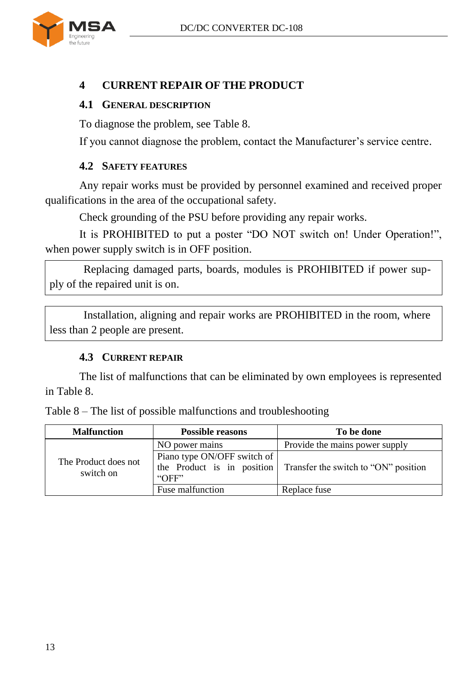

## <span id="page-12-0"></span>**4 CURRENT REPAIR OF THE PRODUCT**

### <span id="page-12-1"></span>**4.1 GENERAL DESCRIPTION**

To diagnose the problem, see Table [8.](#page-12-4)

If you cannot diagnose the problem, contact the Manufacturer's service centre.

### **4.2 SAFETY FEATURES**

<span id="page-12-2"></span>Any repair works must be provided by personnel examined and received proper qualifications in the area of the occupational safety.

Check grounding of the PSU before providing any repair works.

It is PROHIBITED to put a poster "DO NOT switch on! Under Operation!", when power supply switch is in OFF position.

Replacing damaged parts, boards, modules is PROHIBITED if power supply of the repaired unit is on.

Installation, aligning and repair works are PROHIBITED in the room, where less than 2 people are present.

#### **4.3 CURRENT REPAIR**

<span id="page-12-3"></span>The list of malfunctions that can be eliminated by own employees is represented in Table [8.](#page-12-4)

| <b>Malfunction</b>                | <b>Possible reasons</b>              | To be done                                                      |
|-----------------------------------|--------------------------------------|-----------------------------------------------------------------|
|                                   | NO power mains                       | Provide the mains power supply                                  |
| The Product does not<br>switch on | Piano type ON/OFF switch of<br>"OFF" | the Product is in position Transfer the switch to "ON" position |
|                                   | Fuse malfunction                     | Replace fuse                                                    |

<span id="page-12-4"></span>Table 8 – The list of possible malfunctions and troubleshooting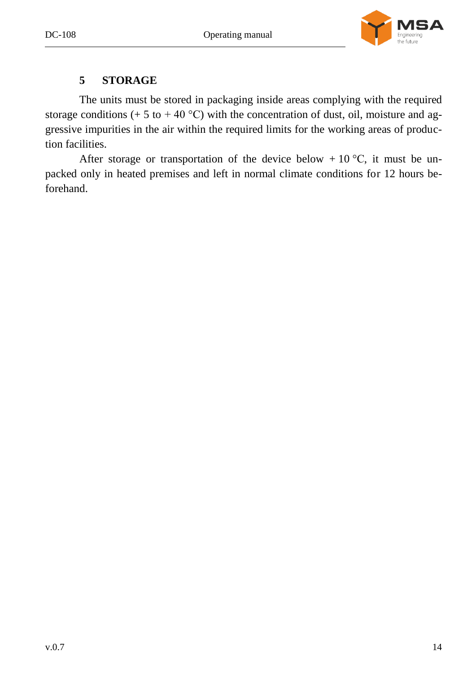

### **5 STORAGE**

<span id="page-13-0"></span>The units must be stored in packaging inside areas complying with the required storage conditions (+ 5 to + 40 °C) with the concentration of dust, oil, moisture and aggressive impurities in the air within the required limits for the working areas of production facilities.

After storage or transportation of the device below  $+10^{\circ}$ C, it must be unpacked only in heated premises and left in normal climate conditions for 12 hours beforehand.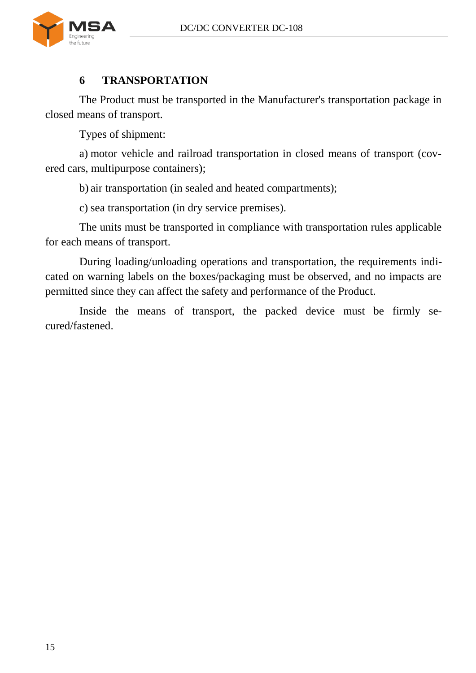

### **6 TRANSPORTATION**

<span id="page-14-0"></span>The Product must be transported in the Manufacturer's transportation package in closed means of transport.

Types of shipment:

a) motor vehicle and railroad transportation in closed means of transport (covered cars, multipurpose containers);

b) air transportation (in sealed and heated compartments);

c) sea transportation (in dry service premises).

The units must be transported in compliance with transportation rules applicable for each means of transport.

During loading/unloading operations and transportation, the requirements indicated on warning labels on the boxes/packaging must be observed, and no impacts are permitted since they can affect the safety and performance of the Product.

Inside the means of transport, the packed device must be firmly secured/fastened.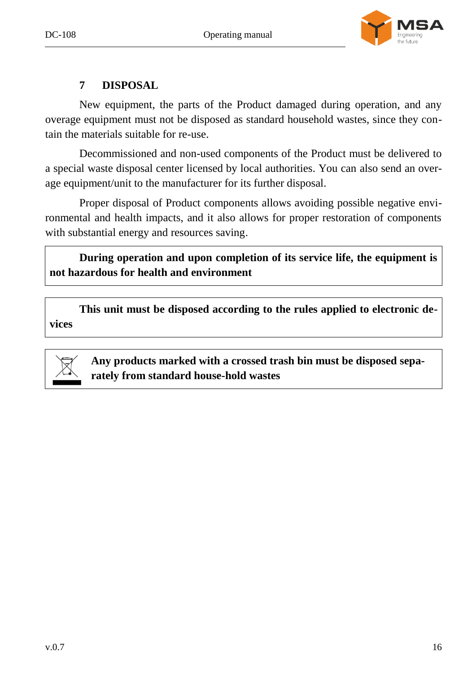



## **7 DISPOSAL**

<span id="page-15-0"></span>New equipment, the parts of the Product damaged during operation, and any overage equipment must not be disposed as standard household wastes, since they contain the materials suitable for re-use.

Decommissioned and non-used components of the Product must be delivered to a special waste disposal center licensed by local authorities. You can also send an overage equipment/unit to the manufacturer for its further disposal.

Proper disposal of Product components allows avoiding possible negative environmental and health impacts, and it also allows for proper restoration of components with substantial energy and resources saving.

**During operation and upon completion of its service life, the equipment is not hazardous for health and environment**

**This unit must be disposed according to the rules applied to electronic devices**



**Any products marked with a crossed trash bin must be disposed separately from standard house-hold wastes**